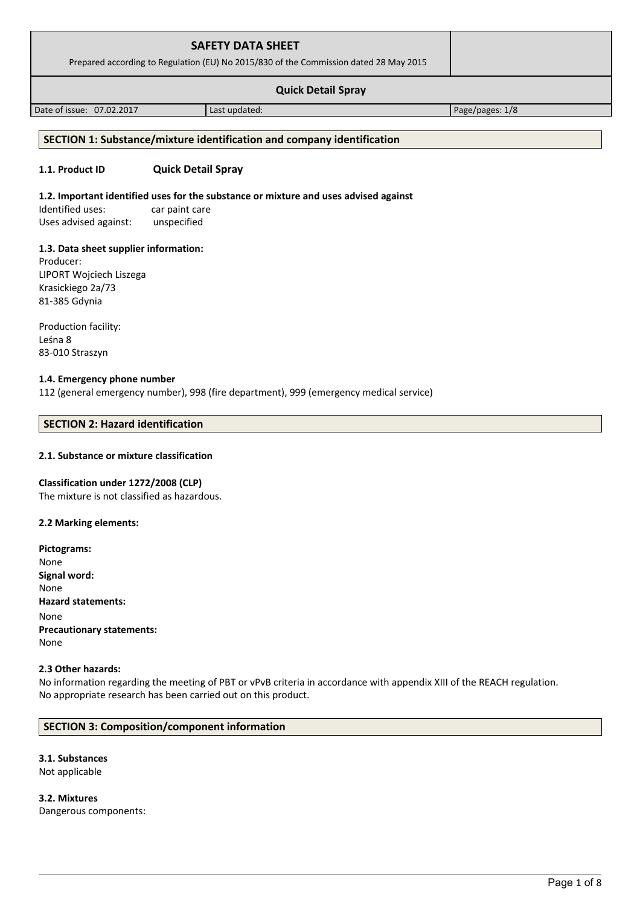| <b>SAFETY DATA SHEET</b><br>Prepared according to Regulation (EU) No 2015/830 of the Commission dated 28 May 2015 |               |                 |  |
|-------------------------------------------------------------------------------------------------------------------|---------------|-----------------|--|
| <b>Quick Detail Spray</b>                                                                                         |               |                 |  |
| Date of issue: 07.02.2017                                                                                         | Last updated: | Page/pages: 1/8 |  |
|                                                                                                                   |               |                 |  |

# **SECTION 1: Substance/mixture identification and company identification**

# **1.1. Product ID Quick Detail Spray**

## **1.2. Important identified uses for the substance or mixture and uses advised against**

Identified uses: car paint care Uses advised against: unspecified

### **1.3. Data sheet supplier information:**

Producer: LIPORT Wojciech Liszega Krasickiego 2a/73 81-385 Gdynia

Production facility: Leśna 8 83-010 Straszyn

### **1.4. Emergency phone number**

112 (general emergency number), 998 (fire department), 999 (emergency medical service)

# **SECTION 2: Hazard identification**

# **2.1. Substance or mixture classification**

### **Classification under 1272/2008 (CLP)**

The mixture is not classified as hazardous.

#### **2.2 Marking elements:**

| Pictograms:                      |
|----------------------------------|
| None                             |
| Signal word:                     |
| None                             |
| <b>Hazard statements:</b>        |
| None                             |
| <b>Precautionary statements:</b> |
| None                             |

#### **2.3 Other hazards:**

No information regarding the meeting of PBT or vPvB criteria in accordance with appendix XIII of the REACH regulation. No appropriate research has been carried out on this product.

# **SECTION 3: Composition/component information**

**3.1. Substances** Not applicable

**3.2. Mixtures** Dangerous components: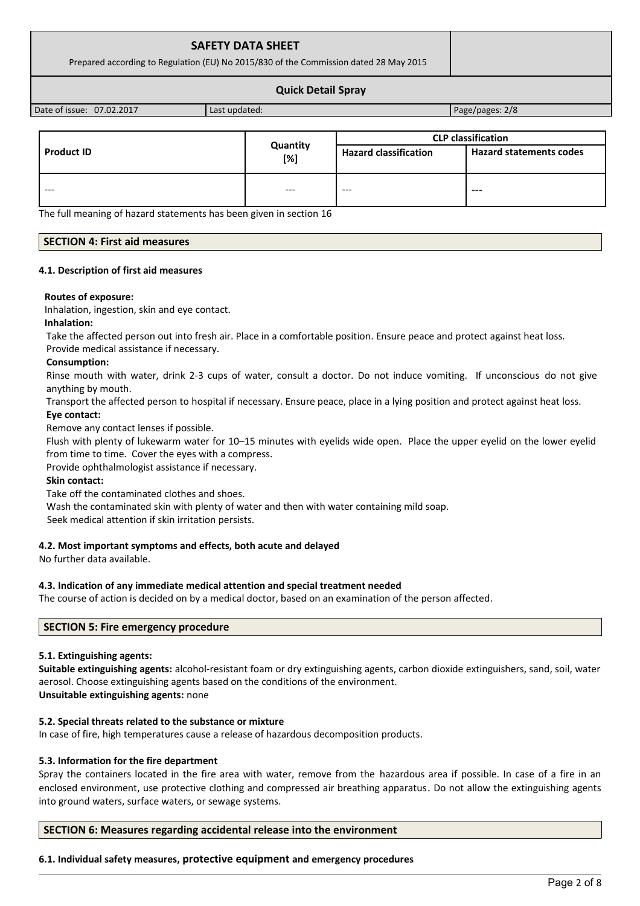# **SAFETY DATA SHEET**

Prepared according to Regulation (EU) No 2015/830 of the Commission dated 28 May 2015

## **Quick Detail Spray**

Date of issue: 07.02.2017 | Last updated: Page/pages: 2/8

|                   |                    | <b>CLP classification</b>    |                                |
|-------------------|--------------------|------------------------------|--------------------------------|
| <b>Product ID</b> | Quantity<br>$[\%]$ | <b>Hazard classification</b> | <b>Hazard statements codes</b> |
| ---               | $---$              | $- - -$                      | $---$                          |

The full meaning of hazard statements has been given in section 16

#### **SECTION 4: First aid measures**

#### **4.1. Description of first aid measures**

#### **Routes of exposure:**

Inhalation, ingestion, skin and eye contact.

#### **Inhalation:**

Take the affected person out into fresh air. Place in a comfortable position. Ensure peace and protect against heat loss. Provide medical assistance if necessary.

#### **Consumption:**

Rinse mouth with water, drink 2-3 cups of water, consult a doctor. Do not induce vomiting. If unconscious do not give anything by mouth.

Transport the affected person to hospital if necessary. Ensure peace, place in a lying position and protect against heat loss.

#### **Eye contact:**

Remove any contact lenses if possible.

Flush with plenty of lukewarm water for 10–15 minutes with eyelids wide open. Place the upper eyelid on the lower eyelid from time to time. Cover the eyes with a compress.

Provide ophthalmologist assistance if necessary.

#### **Skin contact:**

Take off the contaminated clothes and shoes.

Wash the contaminated skin with plenty of water and then with water containing mild soap.

Seek medical attention if skin irritation persists.

# **4.2. Most important symptoms and effects, both acute and delayed**

No further data available.

#### **4.3. Indication of any immediate medical attention and special treatment needed**

The course of action is decided on by a medical doctor, based on an examination of the person affected.

# **SECTION 5: Fire emergency procedure**

#### **5.1. Extinguishing agents:**

**Suitable extinguishing agents:** alcohol-resistant foam or dry extinguishing agents, carbon dioxide extinguishers, sand, soil, water aerosol. Choose extinguishing agents based on the conditions of the environment. **Unsuitable extinguishing agents:** none

## **5.2. Special threats related to the substance or mixture**

In case of fire, high temperatures cause a release of hazardous decomposition products.

#### **5.3. Information for the fire department**

Spray the containers located in the fire area with water, remove from the hazardous area if possible. In case of a fire in an enclosed environment, use protective clothing and compressed air breathing apparatus. Do not allow the extinguishing agents into ground waters, surface waters, or sewage systems.

# **SECTION 6: Measures regarding accidental release into the environment**

#### **6.1. Individual safety measures, protective equipment and emergency procedures**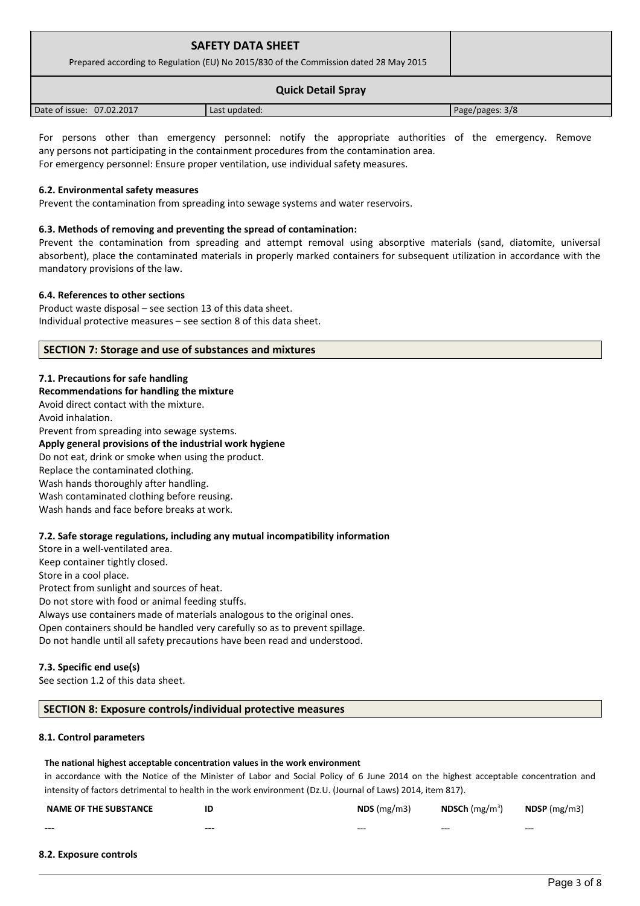| <b>SAFETY DATA SHEET</b><br>Prepared according to Regulation (EU) No 2015/830 of the Commission dated 28 May 2015 |               |                 |
|-------------------------------------------------------------------------------------------------------------------|---------------|-----------------|
| <b>Quick Detail Spray</b>                                                                                         |               |                 |
| Date of issue: 07.02.2017                                                                                         | Last updated: | Page/pages: 3/8 |

For persons other than emergency personnel: notify the appropriate authorities of the emergency. Remove any persons not participating in the containment procedures from the contamination area. For emergency personnel: Ensure proper ventilation, use individual safety measures.

# **6.2. Environmental safety measures**

Prevent the contamination from spreading into sewage systems and water reservoirs.

# **6.3. Methods of removing and preventing the spread of contamination:**

Prevent the contamination from spreading and attempt removal using absorptive materials (sand, diatomite, universal absorbent), place the contaminated materials in properly marked containers for subsequent utilization in accordance with the mandatory provisions of the law.

#### **6.4. References to other sections**

Product waste disposal – see section 13 of this data sheet. Individual protective measures – see section 8 of this data sheet.

### **SECTION 7: Storage and use of substances and mixtures**

**7.1. Precautions for safe handling Recommendations for handling the mixture**  Avoid direct contact with the mixture. Avoid inhalation. Prevent from spreading into sewage systems. **Apply general provisions of the industrial work hygiene**  Do not eat, drink or smoke when using the product. Replace the contaminated clothing. Wash hands thoroughly after handling. Wash contaminated clothing before reusing. Wash hands and face before breaks at work.

# **7.2. Safe storage regulations, including any mutual incompatibility information**

Store in a well-ventilated area. Keep container tightly closed. Store in a cool place.

Protect from sunlight and sources of heat.

Do not store with food or animal feeding stuffs.

Always use containers made of materials analogous to the original ones. Open containers should be handled very carefully so as to prevent spillage.

Do not handle until all safety precautions have been read and understood.

# **7.3. Specific end use(s)**

See section 1.2 of this data sheet.

# **SECTION 8: Exposure controls/individual protective measures**

#### **8.1. Control parameters**

#### **The national highest acceptable concentration values in the work environment**

in accordance with the Notice of the Minister of Labor and Social Policy of 6 June 2014 on the highest acceptable concentration and intensity of factors detrimental to health in the work environment (Dz.U. (Journal of Laws) 2014, item 817).

| <b>NAME OF THE SUBSTANCE</b> | IC    | NDS(mg/m3) | <b>NDSCh</b> $(mg/m^3)$ | $NDSP$ (mg/m3) |
|------------------------------|-------|------------|-------------------------|----------------|
| ---                          | $---$ | $- - -$    | $- - -$                 | $- - -$        |

## **8.2. Exposure controls**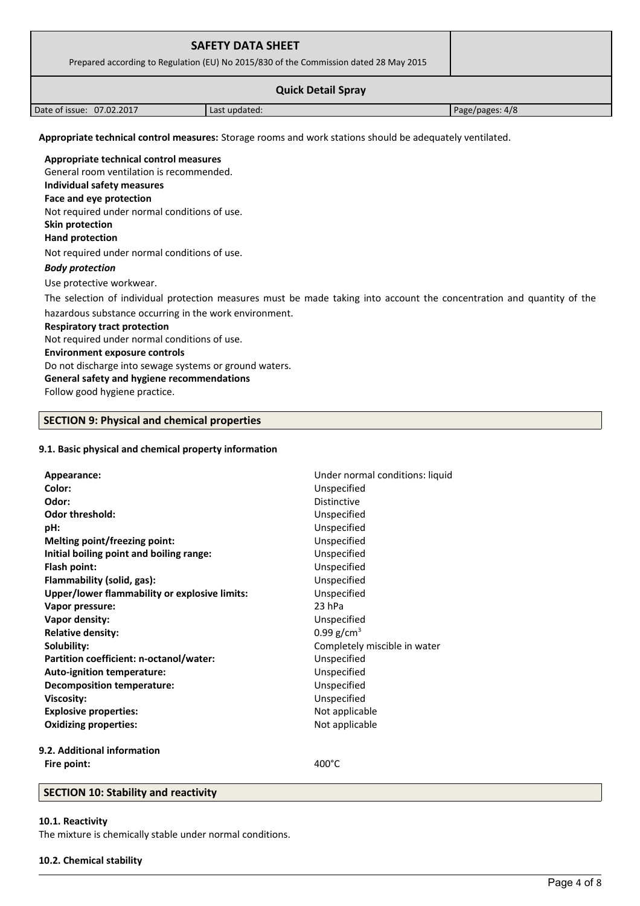|                                                                                                          | <b>SAFETY DATA SHEET</b><br>Prepared according to Regulation (EU) No 2015/830 of the Commission dated 28 May 2015 |                 |  |
|----------------------------------------------------------------------------------------------------------|-------------------------------------------------------------------------------------------------------------------|-----------------|--|
| <b>Quick Detail Spray</b>                                                                                |                                                                                                                   |                 |  |
| Date of issue: 07.02.2017                                                                                | Last updated:                                                                                                     | Page/pages: 4/8 |  |
| Appropriate technical control measures: Storage rooms and work stations should be adequately ventilated. |                                                                                                                   |                 |  |

**Appropriate technical control measures** General room ventilation is recommended. **Individual safety measures Face and eye protection** Not required under normal conditions of use. **Skin protection** 

### **Hand protection**

Not required under normal conditions of use.

### *Body protection*

Use protective workwear.

The selection of individual protection measures must be made taking into account the concentration and quantity of the hazardous substance occurring in the work environment.

#### **Respiratory tract protection**

Not required under normal conditions of use.

### **Environment exposure controls**

Do not discharge into sewage systems or ground waters.

# **General safety and hygiene recommendations**

Follow good hygiene practice.

# **SECTION 9: Physical and chemical properties**

# **9.1. Basic physical and chemical property information**

| Appearance:                                   | Under normal conditions: liquid |
|-----------------------------------------------|---------------------------------|
| Color:                                        | Unspecified                     |
| Odor:                                         | <b>Distinctive</b>              |
| <b>Odor threshold:</b>                        | Unspecified                     |
| pH:                                           | Unspecified                     |
| <b>Melting point/freezing point:</b>          | Unspecified                     |
| Initial boiling point and boiling range:      | Unspecified                     |
| Flash point:                                  | Unspecified                     |
| Flammability (solid, gas):                    | Unspecified                     |
| Upper/lower flammability or explosive limits: | Unspecified                     |
| Vapor pressure:                               | $23$ hPa                        |
| Vapor density:                                | Unspecified                     |
| <b>Relative density:</b>                      | 0.99 $g/cm^{3}$                 |
| Solubility:                                   | Completely miscible in water    |
| Partition coefficient: n-octanol/water:       | Unspecified                     |
| Auto-ignition temperature:                    | Unspecified                     |
| <b>Decomposition temperature:</b>             | Unspecified                     |
| <b>Viscosity:</b>                             | Unspecified                     |
| <b>Explosive properties:</b>                  | Not applicable                  |
| <b>Oxidizing properties:</b>                  | Not applicable                  |
| 9.2. Additional information                   |                                 |
| Fire point:                                   | $400^{\circ}$ C                 |
|                                               |                                 |

# **SECTION 10: Stability and reactivity**

#### **10.1. Reactivity**

The mixture is chemically stable under normal conditions.

# **10.2. Chemical stability**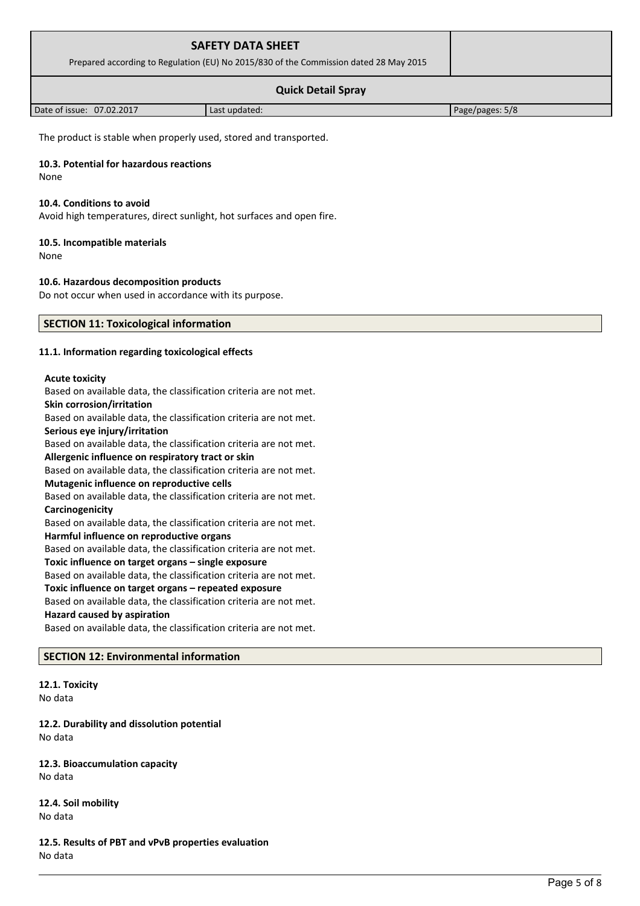| <b>SAFETY DATA SHEET</b><br>Prepared according to Regulation (EU) No 2015/830 of the Commission dated 28 May 2015 |               |                 |  |
|-------------------------------------------------------------------------------------------------------------------|---------------|-----------------|--|
| <b>Quick Detail Spray</b>                                                                                         |               |                 |  |
| Date of issue: 07.02.2017                                                                                         | Last updated: | Page/pages: 5/8 |  |

The product is stable when properly used, stored and transported.

## **10.3. Potential for hazardous reactions**

None

#### **10.4. Conditions to avoid**

Avoid high temperatures, direct sunlight, hot surfaces and open fire.

# **10.5. Incompatible materials**

None

# **10.6. Hazardous decomposition products**

Do not occur when used in accordance with its purpose.

# **SECTION 11: Toxicological information**

### **11.1. Information regarding toxicological effects**

#### **Acute toxicity**

Based on available data, the classification criteria are not met. **Skin corrosion/irritation** Based on available data, the classification criteria are not met. **Serious eye injury/irritation** Based on available data, the classification criteria are not met. **Allergenic influence on respiratory tract or skin** Based on available data, the classification criteria are not met. **Mutagenic influence on reproductive cells** Based on available data, the classification criteria are not met. **Carcinogenicity** Based on available data, the classification criteria are not met. **Harmful influence on reproductive organs** Based on available data, the classification criteria are not met. **Toxic influence on target organs – single exposure** Based on available data, the classification criteria are not met. **Toxic influence on target organs – repeated exposure** Based on available data, the classification criteria are not met. **Hazard caused by aspiration** Based on available data, the classification criteria are not met.

# **SECTION 12: Environmental information**

**12.1. Toxicity** No data

**12.2. Durability and dissolution potential** No data

**12.3. Bioaccumulation capacity** No data

**12.4. Soil mobility** No data

**12.5. Results of PBT and vPvB properties evaluation** No data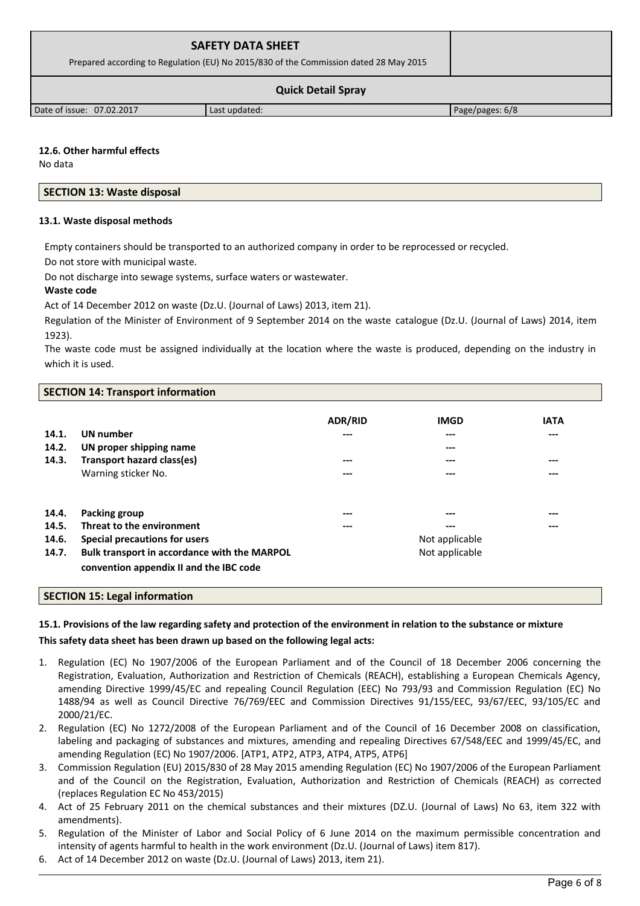| <b>SAFETY DATA SHEET</b>                                                              |  |
|---------------------------------------------------------------------------------------|--|
| Prepared according to Regulation (EU) No 2015/830 of the Commission dated 28 May 2015 |  |
| <b>Quick Detail Spray</b>                                                             |  |

Date of issue: 07.02.2017 | Last updated: Page/pages: 6/8

**12.6. Other harmful effects** No data

# **SECTION 13: Waste disposal**

# **13.1. Waste disposal methods**

Empty containers should be transported to an authorized company in order to be reprocessed or recycled. Do not store with municipal waste.

Do not discharge into sewage systems, surface waters or wastewater.

**Waste code**

Act of 14 December 2012 on waste (Dz.U. (Journal of Laws) 2013, item 21).

Regulation of the Minister of Environment of 9 September 2014 on the waste catalogue (Dz.U. (Journal of Laws) 2014, item 1923).

The waste code must be assigned individually at the location where the waste is produced, depending on the industry in which it is used.

# **SECTION 14: Transport information**

| 14.1.<br>14.2.<br>14.3. | UN number<br>UN proper shipping name<br><b>Transport hazard class(es)</b><br>Warning sticker No. | <b>ADR/RID</b><br>---<br>---<br>--- | <b>IMGD</b><br>$---$<br>---<br>---<br>$---$ | <b>IATA</b><br>$---$<br>$---$<br>$---$ |
|-------------------------|--------------------------------------------------------------------------------------------------|-------------------------------------|---------------------------------------------|----------------------------------------|
| 14.4.                   | Packing group                                                                                    | ---                                 | ---                                         | $---$                                  |
| 14.5.<br>14.6.          | Threat to the environment                                                                        | ---                                 | $---$                                       | $---$                                  |
|                         | Special precautions for users                                                                    |                                     | Not applicable                              |                                        |
| 14.7.                   | Bulk transport in accordance with the MARPOL<br>convention appendix II and the IBC code          |                                     | Not applicable                              |                                        |

# **SECTION 15: Legal information**

# **15.1. Provisions of the law regarding safety and protection of the environment in relation to the substance or mixture**

# **This safety data sheet has been drawn up based on the following legal acts:**

- 1. Regulation (EC) No 1907/2006 of the European Parliament and of the Council of 18 December 2006 concerning the Registration, Evaluation, Authorization and Restriction of Chemicals (REACH), establishing a European Chemicals Agency, amending Directive 1999/45/EC and repealing Council Regulation (EEC) No 793/93 and Commission Regulation (EC) No 1488/94 as well as Council Directive 76/769/EEC and Commission Directives 91/155/EEC, 93/67/EEC, 93/105/EC and 2000/21/EC.
- 2. Regulation (EC) No 1272/2008 of the European Parliament and of the Council of 16 December 2008 on classification, labeling and packaging of substances and mixtures, amending and repealing Directives 67/548/EEC and 1999/45/EC, and amending Regulation (EC) No 1907/2006. [ATP1, ATP2, ATP3, ATP4, ATP5, ATP6]
- 3. Commission Regulation (EU) 2015/830 of 28 May 2015 amending Regulation (EC) No 1907/2006 of the European Parliament and of the Council on the Registration, Evaluation, Authorization and Restriction of Chemicals (REACH) as corrected (replaces Regulation EC No 453/2015)
- 4. Act of 25 February 2011 on the chemical substances and their mixtures (DZ.U. (Journal of Laws) No 63, item 322 with amendments).
- 5. Regulation of the Minister of Labor and Social Policy of 6 June 2014 on the maximum permissible concentration and intensity of agents harmful to health in the work environment (Dz.U. (Journal of Laws) item 817).
- 6. Act of 14 December 2012 on waste (Dz.U. (Journal of Laws) 2013, item 21).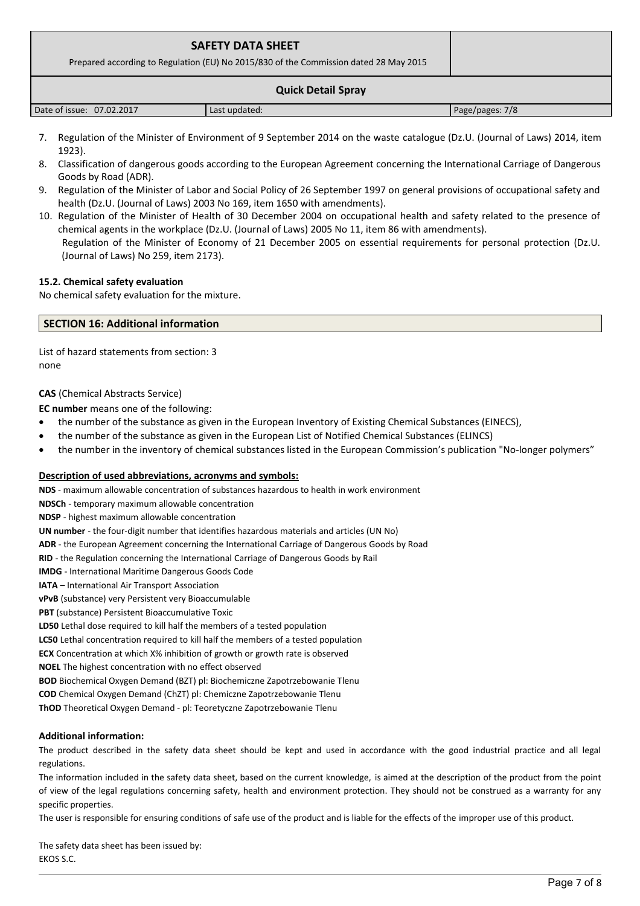| <b>SAFETY DATA SHEET</b><br>Prepared according to Regulation (EU) No 2015/830 of the Commission dated 28 May 2015 |               |                 |
|-------------------------------------------------------------------------------------------------------------------|---------------|-----------------|
|                                                                                                                   |               |                 |
| Date of issue: 07.02.2017                                                                                         | Last updated: | Page/pages: 7/8 |

- 7. Regulation of the Minister of Environment of 9 September 2014 on the waste catalogue (Dz.U. (Journal of Laws) 2014, item 1923).
- 8. Classification of dangerous goods according to the European Agreement concerning the International Carriage of Dangerous Goods by Road (ADR).
- 9. Regulation of the Minister of Labor and Social Policy of 26 September 1997 on general provisions of occupational safety and health (Dz.U. (Journal of Laws) 2003 No 169, item 1650 with amendments).
- 10. Regulation of the Minister of Health of 30 December 2004 on occupational health and safety related to the presence of chemical agents in the workplace (Dz.U. (Journal of Laws) 2005 No 11, item 86 with amendments). Regulation of the Minister of Economy of 21 December 2005 on essential requirements for personal protection (Dz.U. (Journal of Laws) No 259, item 2173).

# **15.2. Chemical safety evaluation**

No chemical safety evaluation for the mixture.

# **SECTION 16: Additional information**

List of hazard statements from section: 3 none

### **CAS** (Chemical Abstracts Service)

**EC number** means one of the following:

- the number of the substance as given in the European Inventory of Existing Chemical Substances (EINECS),
- the number of the substance as given in the European List of Notified Chemical Substances (ELINCS)
- the number in the inventory of chemical substances listed in the European Commission's publication "No-longer polymers"

# **Description of used abbreviations, acronyms and symbols:**

**NDS** - maximum allowable concentration of substances hazardous to health in work environment

**NDSCh** - temporary maximum allowable concentration

**NDSP** - highest maximum allowable concentration

**UN number** - the four-digit number that identifies hazardous materials and articles (UN No)

**ADR** - the European Agreement concerning the International Carriage of Dangerous Goods by Road

**RID** - the Regulation concerning the International Carriage of Dangerous Goods by Rail

**IMDG** - International Maritime Dangerous Goods Code

**IATA** – International Air Transport Association

**vPvB** (substance) very Persistent very Bioaccumulable

**PBT** (substance) Persistent Bioaccumulative Toxic

**LD50** Lethal dose required to kill half the members of a tested population

**LC50** Lethal concentration required to kill half the members of a tested population

**ECX** Concentration at which X% inhibition of growth or growth rate is observed

**NOEL** The highest concentration with no effect observed

**BOD** Biochemical Oxygen Demand (BZT) pl: Biochemiczne Zapotrzebowanie Tlenu

**COD** Chemical Oxygen Demand (ChZT) pl: Chemiczne Zapotrzebowanie Tlenu

**ThOD** Theoretical Oxygen Demand - pl: Teoretyczne Zapotrzebowanie Tlenu

# **Additional information:**

The product described in the safety data sheet should be kept and used in accordance with the good industrial practice and all legal regulations.

The information included in the safety data sheet, based on the current knowledge, is aimed at the description of the product from the point of view of the legal regulations concerning safety, health and environment protection. They should not be construed as a warranty for any specific properties.

The user is responsible for ensuring conditions of safe use of the product and is liable for the effects of the improper use of this product.

The safety data sheet has been issued by: EKOS S.C.